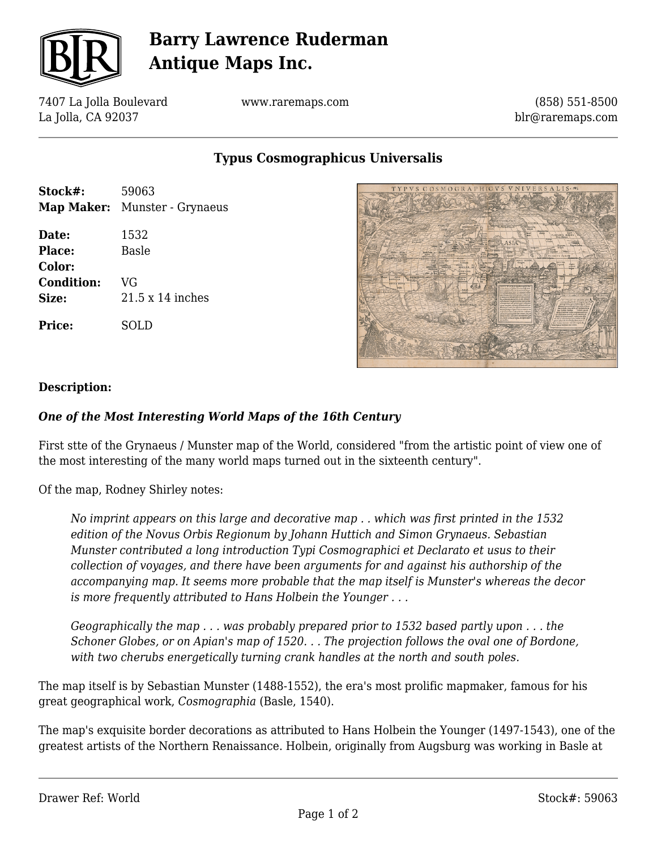

# **Barry Lawrence Ruderman Antique Maps Inc.**

7407 La Jolla Boulevard La Jolla, CA 92037

www.raremaps.com

(858) 551-8500 blr@raremaps.com

**Typus Cosmographicus Universalis**

| Stock#:           | 59063                         |
|-------------------|-------------------------------|
|                   | Map Maker: Munster - Grynaeus |
| Date:             | 1532                          |
| Place:            | Basle                         |
| Color:            |                               |
| <b>Condition:</b> | VG                            |
| Size:             | $21.5 \times 14$ inches       |
| <b>Price:</b>     | SOLD                          |



### **Description:**

### *One of the Most Interesting World Maps of the 16th Century*

First stte of the Grynaeus / Munster map of the World, considered "from the artistic point of view one of the most interesting of the many world maps turned out in the sixteenth century".

Of the map, Rodney Shirley notes:

*No imprint appears on this large and decorative map . . which was first printed in the 1532 edition of the Novus Orbis Regionum by Johann Huttich and Simon Grynaeus. Sebastian Munster contributed a long introduction Typi Cosmographici et Declarato et usus to their collection of voyages, and there have been arguments for and against his authorship of the accompanying map. It seems more probable that the map itself is Munster's whereas the decor is more frequently attributed to Hans Holbein the Younger . . .*

*Geographically the map . . . was probably prepared prior to 1532 based partly upon . . . the Schoner Globes, or on Apian's map of 1520. . . The projection follows the oval one of Bordone, with two cherubs energetically turning crank handles at the north and south poles.*

The map itself is by Sebastian Munster (1488-1552), the era's most prolific mapmaker, famous for his great geographical work, *Cosmographia* (Basle, 1540).

The map's exquisite border decorations as attributed to Hans Holbein the Younger (1497-1543), one of the greatest artists of the Northern Renaissance. Holbein, originally from Augsburg was working in Basle at